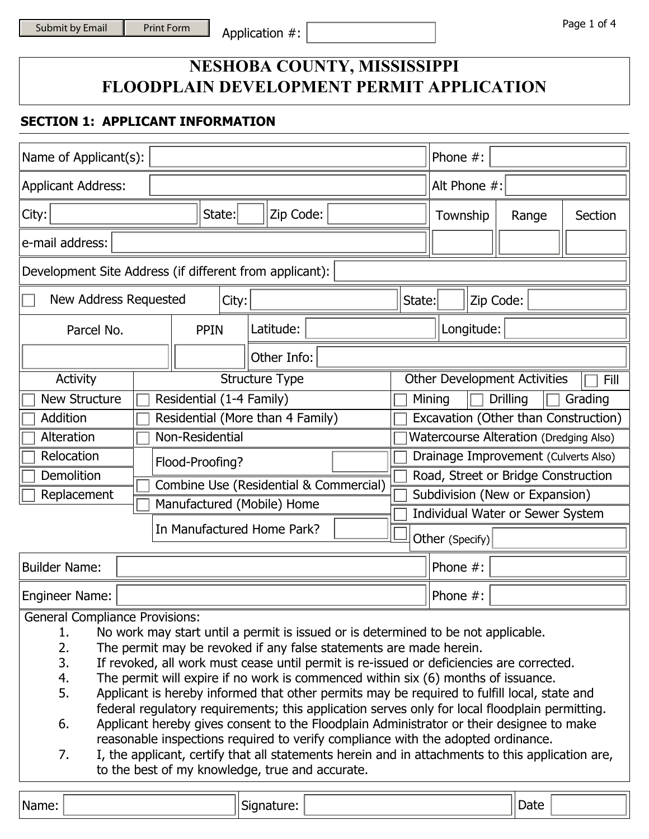# **NESHOBA COUNTY, MISSISSIPPI FLOODPLAIN DEVELOPMENT PERMIT APPLICATION**

## **SECTION 1: APPLICANT INFORMATION**

| Name of Applicant(s):                                                                                                                                                      |                                                                                             |                                        |                                                                                                | Phone $#$ :          |                                  |                 |                                     |                                               |         |
|----------------------------------------------------------------------------------------------------------------------------------------------------------------------------|---------------------------------------------------------------------------------------------|----------------------------------------|------------------------------------------------------------------------------------------------|----------------------|----------------------------------|-----------------|-------------------------------------|-----------------------------------------------|---------|
| Alt Phone #:<br><b>Applicant Address:</b>                                                                                                                                  |                                                                                             |                                        |                                                                                                |                      |                                  |                 |                                     |                                               |         |
| City:                                                                                                                                                                      |                                                                                             | State:                                 | Zip Code:                                                                                      |                      |                                  |                 | Township                            | Range                                         | Section |
| e-mail address:                                                                                                                                                            |                                                                                             |                                        |                                                                                                |                      |                                  |                 |                                     |                                               |         |
| Development Site Address (if different from applicant):                                                                                                                    |                                                                                             |                                        |                                                                                                |                      |                                  |                 |                                     |                                               |         |
| New Address Requested                                                                                                                                                      |                                                                                             | City:                                  |                                                                                                |                      | State:                           |                 |                                     | Zip Code:                                     |         |
| Parcel No.                                                                                                                                                                 | <b>PPIN</b>                                                                                 |                                        | Latitude:                                                                                      |                      |                                  |                 | Longitude:                          |                                               |         |
|                                                                                                                                                                            |                                                                                             |                                        | Other Info:                                                                                    |                      |                                  |                 |                                     |                                               |         |
| Activity                                                                                                                                                                   |                                                                                             |                                        | <b>Structure Type</b>                                                                          |                      |                                  |                 |                                     | <b>Other Development Activities</b>           | Fill    |
| <b>New Structure</b>                                                                                                                                                       | Residential (1-4 Family)                                                                    |                                        |                                                                                                |                      |                                  | Mining          |                                     | Drilling                                      | Grading |
| Addition                                                                                                                                                                   |                                                                                             |                                        | Residential (More than 4 Family)                                                               |                      |                                  |                 |                                     | Excavation (Other than Construction)          |         |
| Alteration                                                                                                                                                                 | Non-Residential                                                                             |                                        |                                                                                                |                      |                                  |                 |                                     | <b>Watercourse Alteration (Dredging Also)</b> |         |
| Relocation<br>Drainage Improvement (Culverts Also)<br>$\overline{\phantom{0}}$<br>Flood-Proofing?                                                                          |                                                                                             |                                        |                                                                                                |                      |                                  |                 |                                     |                                               |         |
| <b>Demolition</b>                                                                                                                                                          |                                                                                             |                                        |                                                                                                |                      |                                  |                 | Road, Street or Bridge Construction |                                               |         |
| Replacement                                                                                                                                                                |                                                                                             | Combine Use (Residential & Commercial) |                                                                                                |                      |                                  |                 |                                     | Subdivision (New or Expansion)                |         |
|                                                                                                                                                                            |                                                                                             |                                        | Manufactured (Mobile) Home                                                                     |                      | Individual Water or Sewer System |                 |                                     |                                               |         |
|                                                                                                                                                                            |                                                                                             |                                        | In Manufactured Home Park?                                                                     | $\blacktriangledown$ |                                  | Other (Specify) |                                     |                                               |         |
|                                                                                                                                                                            |                                                                                             |                                        |                                                                                                |                      |                                  |                 |                                     |                                               |         |
| <b>Builder Name:</b>                                                                                                                                                       |                                                                                             |                                        |                                                                                                |                      |                                  | Phone $#$ :     |                                     |                                               |         |
| Phone #:<br><b>Engineer Name:</b>                                                                                                                                          |                                                                                             |                                        |                                                                                                |                      |                                  |                 |                                     |                                               |         |
| <b>General Compliance Provisions:</b>                                                                                                                                      |                                                                                             |                                        |                                                                                                |                      |                                  |                 |                                     |                                               |         |
| No work may start until a permit is issued or is determined to be not applicable.<br>1.                                                                                    |                                                                                             |                                        |                                                                                                |                      |                                  |                 |                                     |                                               |         |
| 2.<br>The permit may be revoked if any false statements are made herein.<br>3.<br>If revoked, all work must cease until permit is re-issued or deficiencies are corrected. |                                                                                             |                                        |                                                                                                |                      |                                  |                 |                                     |                                               |         |
| The permit will expire if no work is commenced within six (6) months of issuance.<br>4.                                                                                    |                                                                                             |                                        |                                                                                                |                      |                                  |                 |                                     |                                               |         |
| 5.                                                                                                                                                                         | Applicant is hereby informed that other permits may be required to fulfill local, state and |                                        |                                                                                                |                      |                                  |                 |                                     |                                               |         |
|                                                                                                                                                                            |                                                                                             |                                        | federal regulatory requirements; this application serves only for local floodplain permitting. |                      |                                  |                 |                                     |                                               |         |

- 6. Applicant hereby gives consent to the Floodplain Administrator or their designee to make reasonable inspections required to verify compliance with the adopted ordinance.
- 7. I, the applicant, certify that all statements herein and in attachments to this application are, to the best of my knowledge, true and accurate.

| Νa<br>- -- -<br>$   -$ | - 11 |  |  |
|------------------------|------|--|--|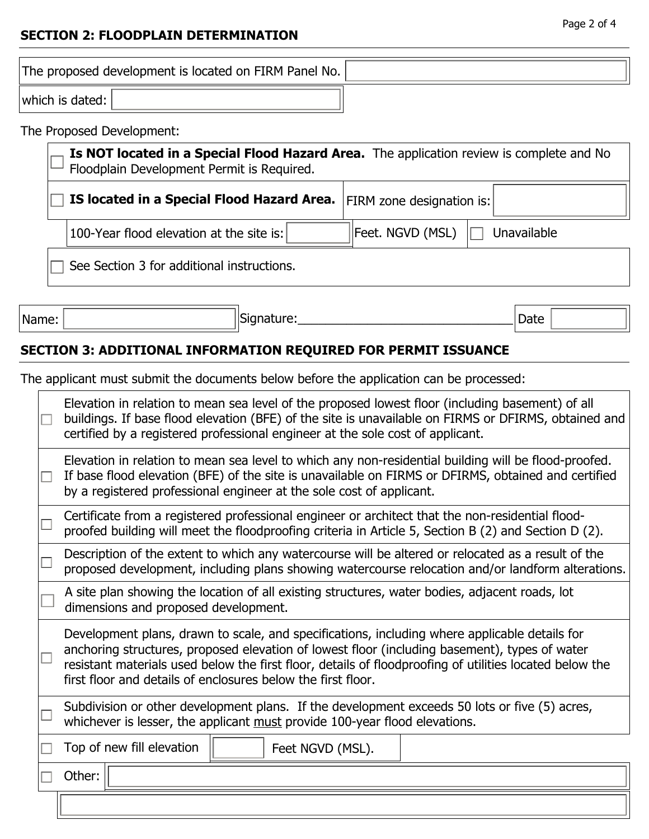## **SECTION 2: FLOODPLAIN DETERMINATION**

The proposed development is located on FIRM Panel No. which is dated:

## The Proposed Development:

|                                            | Is NOT located in a Special Flood Hazard Area. The application review is complete and No<br>Floodplain Development Permit is Required. |                  |             |  |  |  |
|--------------------------------------------|----------------------------------------------------------------------------------------------------------------------------------------|------------------|-------------|--|--|--|
|                                            | IS located in a Special Flood Hazard Area.<br>$ FIRM$ zone designation is: $ $                                                         |                  |             |  |  |  |
|                                            | 100-Year flood elevation at the site is:                                                                                               | Feet. NGVD (MSL) | Unavailable |  |  |  |
| See Section 3 for additional instructions. |                                                                                                                                        |                  |             |  |  |  |

Name: | Name: | Signature: <u>| Signature: | Signature: | Signature: | Signature: | Signature: | Signature: | Signature: | Signature: | Signature: | Signature: | Signature: | Signature: | Signature: | Signature: | Signature:</u>

 $\Gamma$ 

# **SECTION 3: ADDITIONAL INFORMATION REQUIRED FOR PERMIT ISSUANCE**

The applicant must submit the documents below before the application can be processed:

| $\Box$ | Elevation in relation to mean sea level of the proposed lowest floor (including basement) of all<br>buildings. If base flood elevation (BFE) of the site is unavailable on FIRMS or DFIRMS, obtained and<br>certified by a registered professional engineer at the sole cost of applicant.                                                                                |  |  |  |  |  |  |
|--------|---------------------------------------------------------------------------------------------------------------------------------------------------------------------------------------------------------------------------------------------------------------------------------------------------------------------------------------------------------------------------|--|--|--|--|--|--|
| $\Box$ | Elevation in relation to mean sea level to which any non-residential building will be flood-proofed.<br>If base flood elevation (BFE) of the site is unavailable on FIRMS or DFIRMS, obtained and certified<br>by a registered professional engineer at the sole cost of applicant.                                                                                       |  |  |  |  |  |  |
|        | Certificate from a registered professional engineer or architect that the non-residential flood-<br>proofed building will meet the floodproofing criteria in Article 5, Section B (2) and Section D (2).                                                                                                                                                                  |  |  |  |  |  |  |
|        | Description of the extent to which any watercourse will be altered or relocated as a result of the<br>proposed development, including plans showing watercourse relocation and/or landform alterations.                                                                                                                                                                   |  |  |  |  |  |  |
|        | A site plan showing the location of all existing structures, water bodies, adjacent roads, lot<br>dimensions and proposed development.                                                                                                                                                                                                                                    |  |  |  |  |  |  |
|        | Development plans, drawn to scale, and specifications, including where applicable details for<br>anchoring structures, proposed elevation of lowest floor (including basement), types of water<br>resistant materials used below the first floor, details of floodproofing of utilities located below the<br>first floor and details of enclosures below the first floor. |  |  |  |  |  |  |
|        | Subdivision or other development plans. If the development exceeds 50 lots or five (5) acres,<br>whichever is lesser, the applicant must provide 100-year flood elevations.                                                                                                                                                                                               |  |  |  |  |  |  |
|        | Top of new fill elevation<br>Feet NGVD (MSL).                                                                                                                                                                                                                                                                                                                             |  |  |  |  |  |  |
|        | Other:                                                                                                                                                                                                                                                                                                                                                                    |  |  |  |  |  |  |
|        |                                                                                                                                                                                                                                                                                                                                                                           |  |  |  |  |  |  |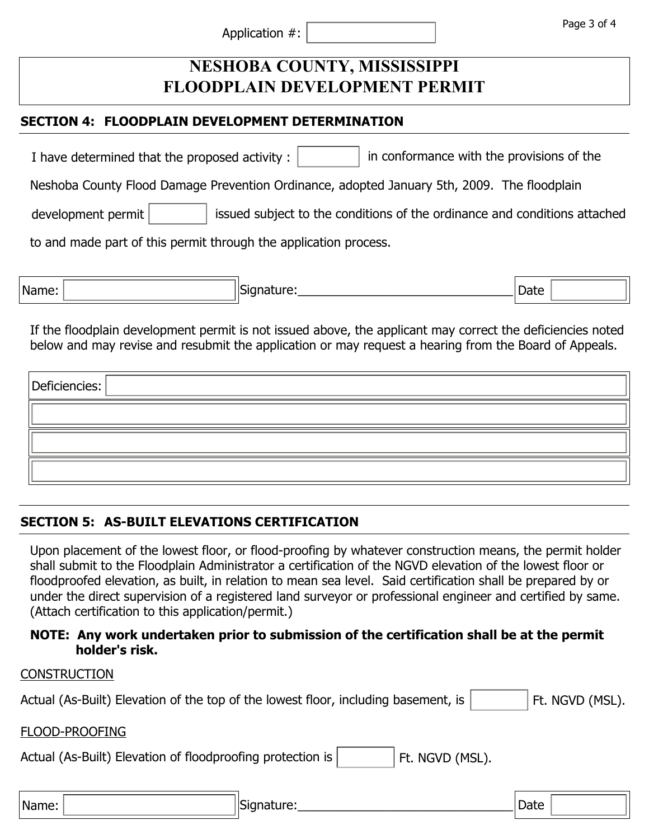|                | Page 3 of 4 |
|----------------|-------------|
| Application #: |             |
|                |             |

# **NESHOBA COUNTY, MISSISSIPPI FLOODPLAIN DEVELOPMENT PERMIT**

#### **SECTION 4: FLOODPLAIN DEVELOPMENT DETERMINATION**

I have determined that the proposed activity :  $\|\cdot\|$  in conformance with the provisions of the

Neshoba County Flood Damage Prevention Ordinance, adopted January 5th, 2009. The floodplain

development permit  $\|\cdot\|$  issued subject to the conditions of the ordinance and conditions attached

to and made part of this permit through the application process.

| 'Name: | $\sim$<br>יי<br>. . | $R_{\rm max}$<br>Date |  |
|--------|---------------------|-----------------------|--|
|        |                     |                       |  |

If the floodplain development permit is not issued above, the applicant may correct the deficiencies noted below and may revise and resubmit the application or may request a hearing from the Board of Appeals.

| $ \mathsf{Defic} \$ |  |
|---------------------|--|
|                     |  |
|                     |  |
|                     |  |

# **SECTION 5: AS-BUILT ELEVATIONS CERTIFICATION**

NCTDUCTION

Upon placement of the lowest floor, or flood-proofing by whatever construction means, the permit holder shall submit to the Floodplain Administrator a certification of the NGVD elevation of the lowest floor or floodproofed elevation, as built, in relation to mean sea level. Said certification shall be prepared by or under the direct supervision of a registered land surveyor or professional engineer and certified by same. (Attach certification to this application/permit.)

#### **NOTE: Any work undertaken prior to submission of the certification shall be at the permit holder's risk.**

| <b>CONSTRUCTION</b>                                                                |      |                 |
|------------------------------------------------------------------------------------|------|-----------------|
| Actual (As-Built) Elevation of the top of the lowest floor, including basement, is |      | Ft. NGVD (MSL). |
| FLOOD-PROOFING                                                                     |      |                 |
| Actual (As-Built) Elevation of floodproofing protection is<br>Ft. NGVD (MSL).      |      |                 |
|                                                                                    |      |                 |
| Signature:<br>Name:                                                                | Date |                 |